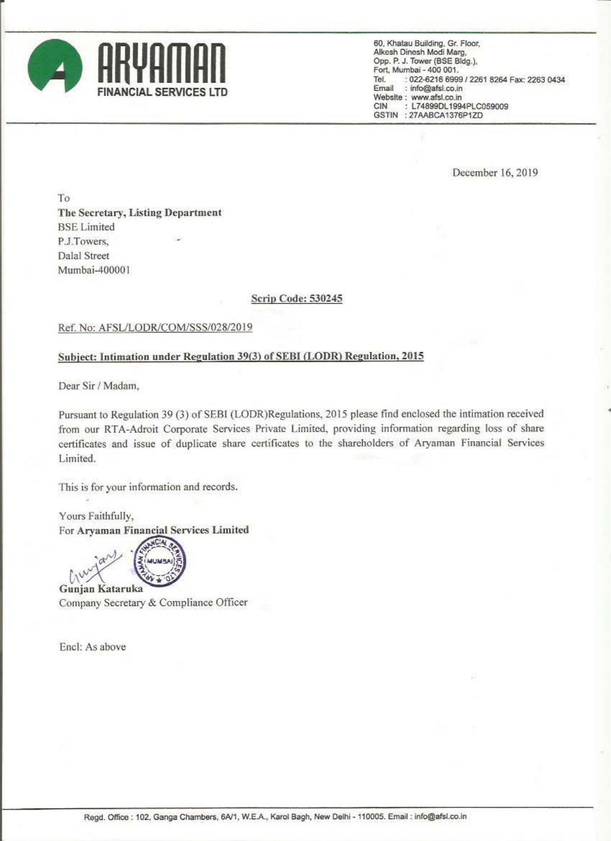

60, Khatau Building, Gr. Floor, Alkesh Dinesh Modi Marg, Opp. P. J. Tower (BSE Bldg.), Fort, Mumbai - 400 001. : 022-6216 6999 / 2261 8264 Fax: 2263 0434 Tel : info@afsl.co.in Email Website: www.afsl.co.in CIN : L74899DL1994PLC059009 GSTIN : 27AABCA1376P1ZD

December 16, 2019

To. The Secretary, Listing Department **BSE** Limited P.J.Towers. **Dalal Street** Mumbai-400001

## Scrip Code: 530245

## Ref. No: AFSL/LODR/COM/SSS/028/2019

## Subject: Intimation under Regulation 39(3) of SEBI (LODR) Regulation, 2015

Dear Sir / Madam,

Pursuant to Regulation 39 (3) of SEBI (LODR)Regulations, 2015 please find enclosed the intimation received from our RTA-Adroit Corporate Services Private Limited, providing information regarding loss of share certificates and issue of duplicate share certificates to the shareholders of Aryaman Financial Services Limited.

This is for your information and records.

Yours Faithfully, For Aryaman Financial Services Limited



Company Secretary & Compliance Officer

Encl: As above